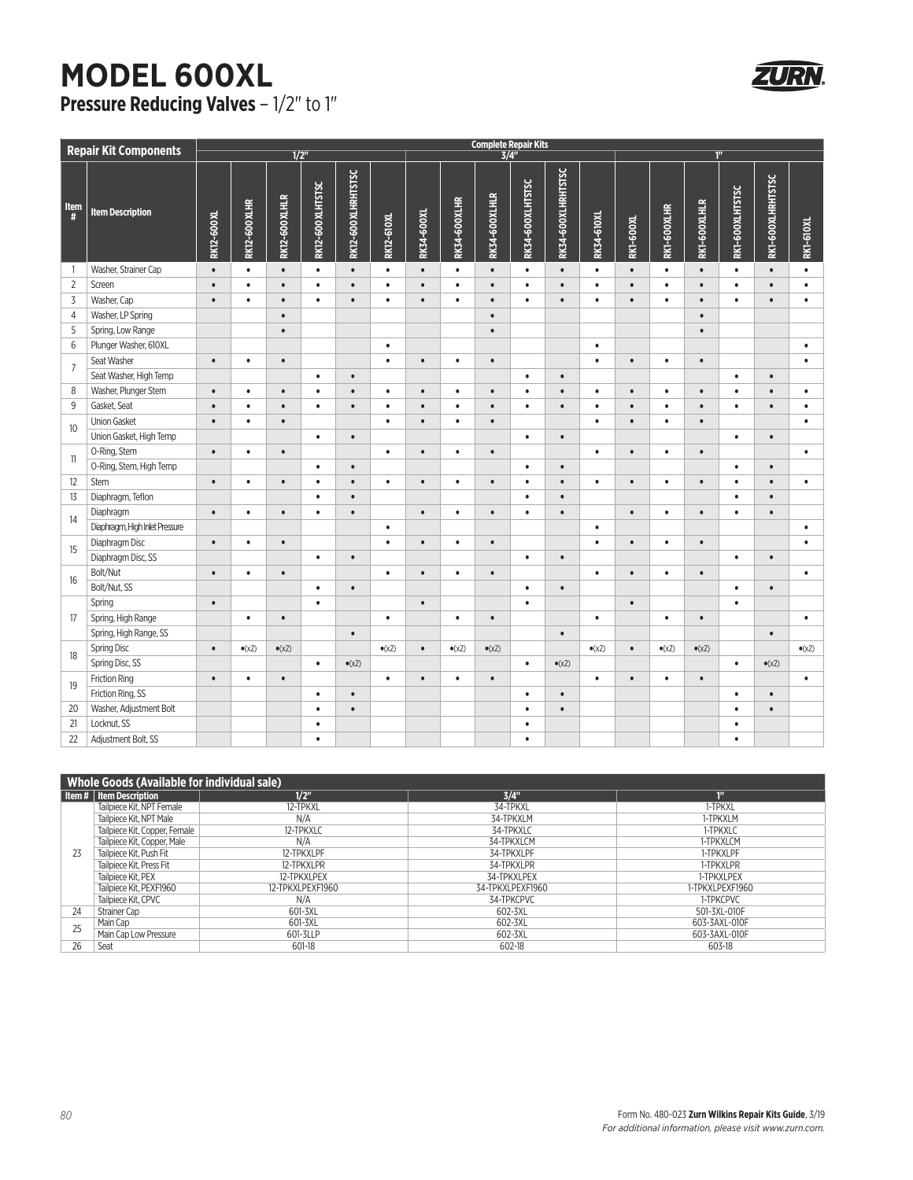## **MODEL 600XL Pressure Reducing Valves - 1/2" to 1"**

| <b>Complete Repair Kits</b><br><b>Repair Kit Components</b><br>$\overline{1/2}$<br>$\overline{3/4}$<br>1 <sup>n</sup> |                                |            |                     |                |                  |                    |                   |            |                     |                |                  |                    |                   |                  |                |                |                 |                   |                  |
|-----------------------------------------------------------------------------------------------------------------------|--------------------------------|------------|---------------------|----------------|------------------|--------------------|-------------------|------------|---------------------|----------------|------------------|--------------------|-------------------|------------------|----------------|----------------|-----------------|-------------------|------------------|
|                                                                                                                       |                                |            |                     |                |                  |                    |                   |            |                     |                |                  |                    |                   |                  |                |                |                 |                   |                  |
| <b>Item</b><br>#                                                                                                      | <b>Item Description</b>        | RK12-600XL | <b>RK12-600XLHR</b> | RK12-600XLHLR  | RK12-600XLHTSTSC | RK12-600XLHRHTSTSC | <b>RK12-610XL</b> | RK34-600XL | <b>RK34-600XLHR</b> | RK34-600XLHLR  | RK34-600XLHTSTSC | RK34-600XLHRHTSTSC | <b>RK34-610XL</b> | <b>RK1-600XL</b> | RK1-600XLHR    | RK1-600XLHLR   | RK1-600XLHTSTSC | RK1-600XLHRHTSTSC | <b>RK1-610XL</b> |
| $\mathbf{1}$                                                                                                          | Washer, Strainer Cap           | $\bullet$  | $\bullet$           | $\bullet$      | $\bullet$        | $\bullet$          | $\bullet$         | $\bullet$  | $\bullet$           | $\bullet$      | $\bullet$        | $\bullet$          | $\bullet$         | $\bullet$        | $\bullet$      | $\bullet$      | $\bullet$       | $\bullet$         | $\bullet$        |
| $\overline{2}$                                                                                                        | Screen                         | $\bullet$  | $\bullet$           | $\bullet$      | $\bullet$        | $\bullet$          | $\bullet$         | $\bullet$  | $\bullet$           | $\bullet$      | $\bullet$        | $\bullet$          | $\bullet$         | $\bullet$        | $\bullet$      | $\bullet$      | $\bullet$       | $\bullet$         | $\bullet$        |
| $\overline{3}$                                                                                                        | Washer, Cap                    | $\bullet$  | $\bullet$           | $\bullet$      | $\bullet$        | $\bullet$          | $\bullet$         | $\bullet$  | $\bullet$           | $\bullet$      | $\bullet$        | $\bullet$          | $\bullet$         | $\bullet$        | $\bullet$      | $\bullet$      | $\bullet$       | $\bullet$         | $\bullet$        |
| $\sqrt{4}$                                                                                                            | Washer, LP Spring              |            |                     | $\bullet$      |                  |                    |                   |            |                     | $\bullet$      |                  |                    |                   |                  |                | $\bullet$      |                 |                   |                  |
| 5                                                                                                                     | Spring, Low Range              |            |                     | $\bullet$      |                  |                    |                   |            |                     | $\bullet$      |                  |                    |                   |                  |                | $\bullet$      |                 |                   |                  |
| $6\,$                                                                                                                 | Plunger Washer, 610XL          |            |                     |                |                  |                    | $\bullet$         |            |                     |                |                  |                    | $\bullet$         |                  |                |                |                 |                   | $\bullet$        |
| $\overline{7}$                                                                                                        | Seat Washer                    | $\bullet$  | $\bullet$           | $\bullet$      |                  |                    | $\bullet$         | $\bullet$  | $\bullet$           | $\bullet$      |                  |                    | $\bullet$         | $\bullet$        | $\bullet$      | $\bullet$      |                 |                   | $\bullet$        |
|                                                                                                                       | Seat Washer, High Temp         |            |                     |                | $\bullet$        | $\bullet$          |                   |            |                     |                | $\bullet$        | $\bullet$          |                   |                  |                |                | $\bullet$       | $\bullet$         |                  |
| 8                                                                                                                     | Washer, Plunger Stem           | $\bullet$  | $\bullet$           | $\bullet$      | $\bullet$        | $\bullet$          | $\bullet$         | $\bullet$  | $\bullet$           | $\bullet$      | $\bullet$        | $\bullet$          | $\bullet$         | $\bullet$        | $\bullet$      | $\bullet$      | $\bullet$       | $\bullet$         | $\bullet$        |
| 9                                                                                                                     | Gasket, Seat                   | $\bullet$  | $\bullet$           | $\bullet$      | $\bullet$        | $\bullet$          | $\bullet$         | $\bullet$  | $\bullet$           | $\bullet$      | $\bullet$        | $\bullet$          | $\bullet$         | $\bullet$        | $\bullet$      | $\bullet$      | $\bullet$       | $\bullet$         | $\bullet$        |
|                                                                                                                       | <b>Union Gasket</b>            | $\bullet$  | $\bullet$           | $\bullet$      |                  |                    | $\bullet$         | $\bullet$  | $\bullet$           | $\bullet$      |                  |                    | $\bullet$         | $\bullet$        | $\bullet$      | $\bullet$      |                 |                   | $\bullet$        |
| 10                                                                                                                    | Union Gasket, High Temp        |            |                     |                | $\bullet$        | $\bullet$          |                   |            |                     |                | $\bullet$        | $\bullet$          |                   |                  |                |                | $\bullet$       | $\bullet$         |                  |
|                                                                                                                       | O-Ring, Stem                   | $\bullet$  | $\bullet$           | $\bullet$      |                  |                    | $\bullet$         | $\bullet$  | $\bullet$           | $\bullet$      |                  |                    | $\bullet$         | $\bullet$        | $\bullet$      | $\bullet$      |                 |                   | $\bullet$        |
| 11                                                                                                                    | O-Ring, Stem, High Temp        |            |                     |                | $\bullet$        | $\bullet$          |                   |            |                     |                | $\bullet$        | $\bullet$          |                   |                  |                |                | $\bullet$       | $\bullet$         |                  |
| 12                                                                                                                    | Stem                           | $\bullet$  | $\bullet$           | $\bullet$      | $\bullet$        | $\bullet$          | $\bullet$         | $\bullet$  | $\bullet$           | $\bullet$      | $\bullet$        | $\bullet$          | $\bullet$         | $\bullet$        | $\bullet$      | $\bullet$      | $\bullet$       | $\bullet$         | $\bullet$        |
| 13                                                                                                                    | Diaphragm, Teflon              |            |                     |                | $\bullet$        | $\bullet$          |                   |            |                     |                | $\bullet$        | $\bullet$          |                   |                  |                |                | $\bullet$       | $\bullet$         |                  |
| 14                                                                                                                    | Diaphragm                      | $\bullet$  | $\bullet$           | $\bullet$      | $\bullet$        | $\bullet$          |                   | $\bullet$  | $\bullet$           | $\bullet$      | ٠                | $\bullet$          |                   | $\bullet$        | $\bullet$      | $\bullet$      | $\bullet$       | $\bullet$         |                  |
|                                                                                                                       | Diaphragm, High Inlet Pressure |            |                     |                |                  |                    | $\bullet$         |            |                     |                |                  |                    | $\bullet$         |                  |                |                |                 |                   | $\bullet$        |
|                                                                                                                       | Diaphragm Disc                 | $\bullet$  | $\bullet$           | $\bullet$      |                  |                    | $\bullet$         | $\bullet$  | $\bullet$           | $\bullet$      |                  |                    | $\bullet$         | $\bullet$        | $\bullet$      | $\bullet$      |                 |                   | $\bullet$        |
| 15                                                                                                                    | Diaphragm Disc, SS             |            |                     |                | $\bullet$        | $\bullet$          |                   |            |                     |                | $\bullet$        | $\bullet$          |                   |                  |                |                | $\bullet$       | $\bullet$         |                  |
| 16                                                                                                                    | Bolt/Nut                       | $\bullet$  | $\bullet$           | $\bullet$      |                  |                    | $\bullet$         | $\bullet$  | $\bullet$           | $\bullet$      |                  |                    | $\bullet$         | $\bullet$        | $\bullet$      | $\bullet$      |                 |                   | $\bullet$        |
|                                                                                                                       | Bolt/Nut, SS                   |            |                     |                | $\bullet$        | $\bullet$          |                   |            |                     |                | $\bullet$        | $\bullet$          |                   |                  |                |                | $\bullet$       | $\bullet$         |                  |
|                                                                                                                       | Spring                         | $\bullet$  |                     |                | $\bullet$        |                    |                   | $\bullet$  |                     |                | $\bullet$        |                    |                   | $\bullet$        |                |                | $\bullet$       |                   |                  |
| 17                                                                                                                    | Spring, High Range             |            | $\bullet$           | $\bullet$      |                  |                    | $\bullet$         |            | $\bullet$           | $\bullet$      |                  |                    | $\bullet$         |                  | $\bullet$      | $\bullet$      |                 |                   | $\bullet$        |
|                                                                                                                       | Spring, High Range, SS         |            |                     |                |                  | $\bullet$          |                   |            |                     |                |                  | $\bullet$          |                   |                  |                |                |                 | $\bullet$         |                  |
| 18                                                                                                                    | <b>Spring Disc</b>             | $\bullet$  | $\bullet$ (x2)      | $\bullet$ (x2) |                  |                    | $\bullet$ (x2)    | $\bullet$  | $\bullet$ (x2)      | $\bullet$ (x2) |                  |                    | $\bullet$ (x2)    | $\bullet$        | $\bullet$ (x2) | $\bullet$ (x2) |                 |                   | $\bullet$ (x2)   |
|                                                                                                                       | Spring Disc, SS                |            |                     |                | $\bullet$        | $\bullet$ (x2)     |                   |            |                     |                | $\bullet$        | $\bullet$ (x2)     |                   |                  |                |                | $\bullet$       | $\bullet$ (x2)    |                  |
| 19                                                                                                                    | <b>Friction Ring</b>           | $\bullet$  | $\bullet$           | $\bullet$      |                  |                    | $\bullet$         | $\bullet$  | $\bullet$           | $\bullet$      |                  |                    | $\bullet$         | $\bullet$        | $\bullet$      | $\bullet$      |                 |                   | $\bullet$        |
|                                                                                                                       | Friction Ring, SS              |            |                     |                | $\bullet$        | $\bullet$          |                   |            |                     |                | $\bullet$        | $\bullet$          |                   |                  |                |                | $\bullet$       | $\bullet$         |                  |
| 20                                                                                                                    | Washer, Adjustment Bolt        |            |                     |                | $\bullet$        | $\bullet$          |                   |            |                     |                | $\bullet$        | $\bullet$          |                   |                  |                |                | $\bullet$       | $\bullet$         |                  |
| 21                                                                                                                    | Locknut, SS                    |            |                     |                | $\bullet$        |                    |                   |            |                     |                | $\bullet$        |                    |                   |                  |                |                | $\bullet$       |                   |                  |
| 22                                                                                                                    | Adjustment Bolt, SS            |            |                     |                | $\bullet$        |                    |                   |            |                     |                | $\bullet$        |                    |                   |                  |                |                | $\bullet$       |                   |                  |

| <b>Whole Goods (Available for individual sale)</b> |                               |                  |                  |                     |  |  |  |  |  |
|----------------------------------------------------|-------------------------------|------------------|------------------|---------------------|--|--|--|--|--|
|                                                    | Item #   Item Description     | 1/2"             | 3/4"             | $\P^{\prime\prime}$ |  |  |  |  |  |
| 23                                                 | Tailpiece Kit, NPT Female     | 12-TPKXL         | 34-TPKXL         | 1-TPKXL             |  |  |  |  |  |
|                                                    | Tailpiece Kit. NPT Male       | N/A              | 34-TPKXLM        | 1-TPKXLM            |  |  |  |  |  |
|                                                    | Tailpiece Kit, Copper, Female | 12-TPKXLC        | 34-TPKXLC        | 1-TPKXLC            |  |  |  |  |  |
|                                                    | Tailpiece Kit, Copper, Male   | N/A              | 34-TPKXLCM       | 1-TPKXLCM           |  |  |  |  |  |
|                                                    | Tailpiece Kit. Push Fit       | 12-TPKXLPF       | 34-TPKXLPF       | 1-TPKXLPF           |  |  |  |  |  |
|                                                    | Tailpiece Kit. Press Fit      | 12-TPKXLPR       | 34-TPKXLPR       | 1-TPKXLPR           |  |  |  |  |  |
|                                                    | Tailpiece Kit. PEX            | 12-TPKXLPEX      | 34-TPKXLPEX      | 1-TPKXLPEX          |  |  |  |  |  |
|                                                    | Tailpiece Kit, PEXF1960       | 12-TPKXLPEXF1960 | 34-TPKXLPEXF1960 | 1-TPKXLPEXF1960     |  |  |  |  |  |
|                                                    | Tailpiece Kit. CPVC           | N/A              | 34-TPKCPVC       | 1-TPKCPVC           |  |  |  |  |  |
| 24                                                 | Strainer Cap                  | 601-3XL          | 602-3XL          | 501-3XL-010F        |  |  |  |  |  |
| 25                                                 | Main Cap                      | 601-3XL          | 602-3XL          | 603-3AXL-010F       |  |  |  |  |  |
|                                                    | Main Cap Low Pressure         | 601-3LLP         | 602-3XL          | 603-3AXL-010F       |  |  |  |  |  |
| 26                                                 | Seat                          | 601-18           | 602-18           | 603-18              |  |  |  |  |  |